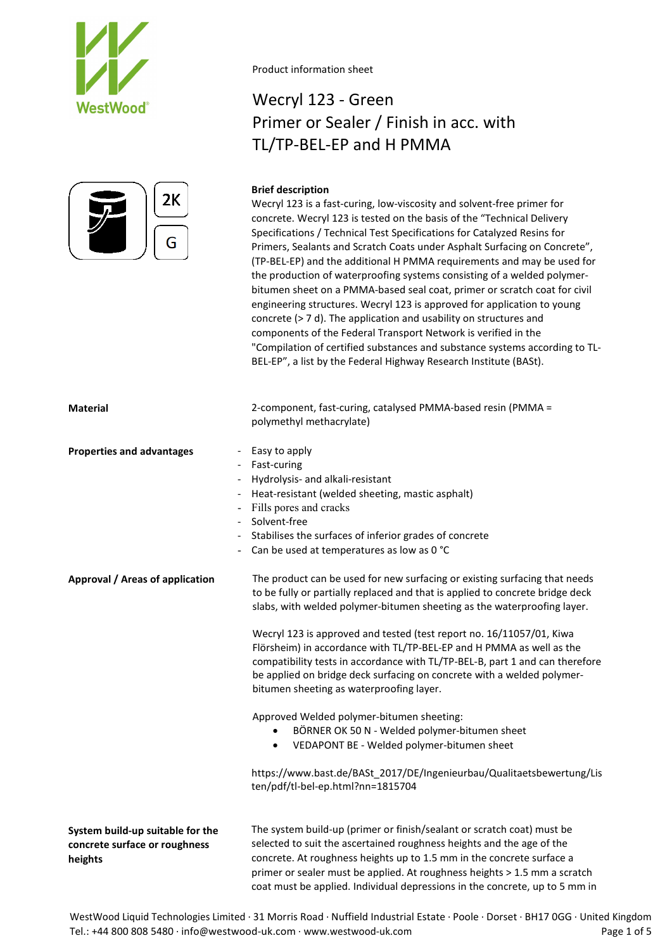



# Wecryl 123 - Green Primer or Sealer / Finish in acc. with TL/TP-BEL-EP and H PMMA

# **Brief description**

Wecryl 123 is a fast-curing, low-viscosity and solvent-free primer for concrete. Wecryl 123 is tested on the basis of the "Technical Delivery Specifications / Technical Test Specifications for Catalyzed Resins for Primers, Sealants and Scratch Coats under Asphalt Surfacing on Concrete", (TP-BEL-EP) and the additional H PMMA requirements and may be used for the production of waterproofing systems consisting of a welded polymerbitumen sheet on a PMMA-based seal coat, primer or scratch coat for civil engineering structures. Wecryl 123 is approved for application to young concrete (> 7 d). The application and usability on structures and components of the Federal Transport Network is verified in the "Compilation of certified substances and substance systems according to TL-BEL-EP", a list by the Federal Highway Research Institute (BASt).

| <b>Material</b>                                                                                    | 2-component, fast-curing, catalysed PMMA-based resin (PMMA =<br>polymethyl methacrylate)                                                                                                                                                                                                                                                                                                                                                                                                                                                                                                                                                                                                                                                                                                                                                                    |
|----------------------------------------------------------------------------------------------------|-------------------------------------------------------------------------------------------------------------------------------------------------------------------------------------------------------------------------------------------------------------------------------------------------------------------------------------------------------------------------------------------------------------------------------------------------------------------------------------------------------------------------------------------------------------------------------------------------------------------------------------------------------------------------------------------------------------------------------------------------------------------------------------------------------------------------------------------------------------|
| <b>Properties and advantages</b><br>$\overline{\phantom{a}}$<br>$\sim$<br>$\overline{\phantom{a}}$ | Easy to apply<br>Fast-curing<br>Hydrolysis- and alkali-resistant<br>Heat-resistant (welded sheeting, mastic asphalt)<br>Fills pores and cracks<br>- Solvent-free<br>Stabilises the surfaces of inferior grades of concrete<br>- Can be used at temperatures as low as 0 °C                                                                                                                                                                                                                                                                                                                                                                                                                                                                                                                                                                                  |
| Approval / Areas of application                                                                    | The product can be used for new surfacing or existing surfacing that needs<br>to be fully or partially replaced and that is applied to concrete bridge deck<br>slabs, with welded polymer-bitumen sheeting as the waterproofing layer.<br>Wecryl 123 is approved and tested (test report no. 16/11057/01, Kiwa<br>Flörsheim) in accordance with TL/TP-BEL-EP and H PMMA as well as the<br>compatibility tests in accordance with TL/TP-BEL-B, part 1 and can therefore<br>be applied on bridge deck surfacing on concrete with a welded polymer-<br>bitumen sheeting as waterproofing layer.<br>Approved Welded polymer-bitumen sheeting:<br>BÖRNER OK 50 N - Welded polymer-bitumen sheet<br>VEDAPONT BE - Welded polymer-bitumen sheet<br>٠<br>https://www.bast.de/BASt_2017/DE/Ingenieurbau/Qualitaetsbewertung/Lis<br>ten/pdf/tl-bel-ep.html?nn=1815704 |
| System build-up suitable for the<br>concrete surface or roughness<br>heights                       | The system build-up (primer or finish/sealant or scratch coat) must be<br>selected to suit the ascertained roughness heights and the age of the<br>concrete. At roughness heights up to 1.5 mm in the concrete surface a<br>primer or sealer must be applied. At roughness heights > 1.5 mm a scratch<br>coat must be applied. Individual depressions in the concrete, up to 5 mm in                                                                                                                                                                                                                                                                                                                                                                                                                                                                        |

WestWood Liquid Technologies Limited · 31 Morris Road · Nuffield Industrial Estate · Poole · Dorset · BH17 0GG · United Kingdom Tel.: +44 800 808 5480 · info@westwood-uk.com · www.westwood-uk.com example are example at the Page 1 of 5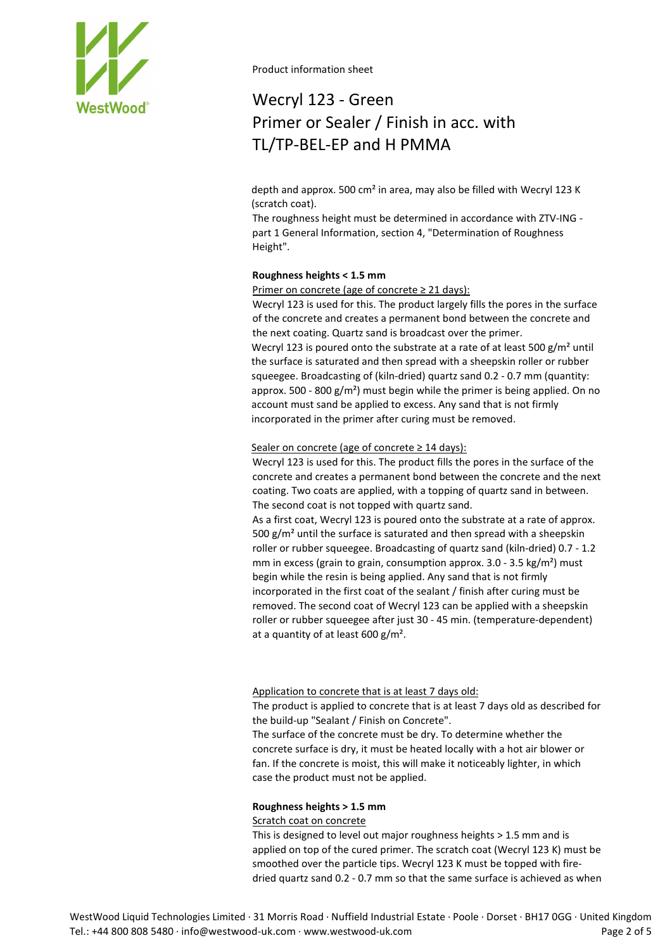

# Wecryl 123 - Green Primer or Sealer / Finish in acc. with TL/TP-BEL-EP and H PMMA

depth and approx. 500 cm² in area, may also be filled with Wecryl 123 K (scratch coat).

The roughness height must be determined in accordance with ZTV-ING part 1 General Information, section 4, "Determination of Roughness Height".

# **Roughness heights < 1.5 mm**

Primer on concrete (age of concrete ≥ 21 days):

Wecryl 123 is used for this. The product largely fills the pores in the surface of the concrete and creates a permanent bond between the concrete and the next coating. Quartz sand is broadcast over the primer. Wecryl 123 is poured onto the substrate at a rate of at least 500 g/m<sup>2</sup> until the surface is saturated and then spread with a sheepskin roller or rubber squeegee. Broadcasting of (kiln-dried) quartz sand 0.2 - 0.7 mm (quantity: approx. 500 - 800  $g/m<sup>2</sup>$ ) must begin while the primer is being applied. On no account must sand be applied to excess. Any sand that is not firmly incorporated in the primer after curing must be removed.

# Sealer on concrete (age of concrete  $\geq$  14 days):

Wecryl 123 is used for this. The product fills the pores in the surface of the concrete and creates a permanent bond between the concrete and the next coating. Two coats are applied, with a topping of quartz sand in between. The second coat is not topped with quartz sand.

As a first coat, Wecryl 123 is poured onto the substrate at a rate of approx. 500  $g/m<sup>2</sup>$  until the surface is saturated and then spread with a sheepskin roller or rubber squeegee. Broadcasting of quartz sand (kiln-dried) 0.7 - 1.2 mm in excess (grain to grain, consumption approx.  $3.0 - 3.5 \text{ kg/m}^2$ ) must begin while the resin is being applied. Any sand that is not firmly incorporated in the first coat of the sealant / finish after curing must be removed. The second coat of Wecryl 123 can be applied with a sheepskin roller or rubber squeegee after just 30 - 45 min. (temperature-dependent) at a quantity of at least  $600 \text{ g/m}^2$ .

Application to concrete that is at least 7 days old:

The product is applied to concrete that is at least 7 days old as described for the build-up "Sealant / Finish on Concrete".

The surface of the concrete must be dry. To determine whether the concrete surface is dry, it must be heated locally with a hot air blower or fan. If the concrete is moist, this will make it noticeably lighter, in which case the product must not be applied.

# **Roughness heights > 1.5 mm**

# Scratch coat on concrete

This is designed to level out major roughness heights > 1.5 mm and is applied on top of the cured primer. The scratch coat (Wecryl 123 K) must be smoothed over the particle tips. Wecryl 123 K must be topped with firedried quartz sand 0.2 - 0.7 mm so that the same surface is achieved as when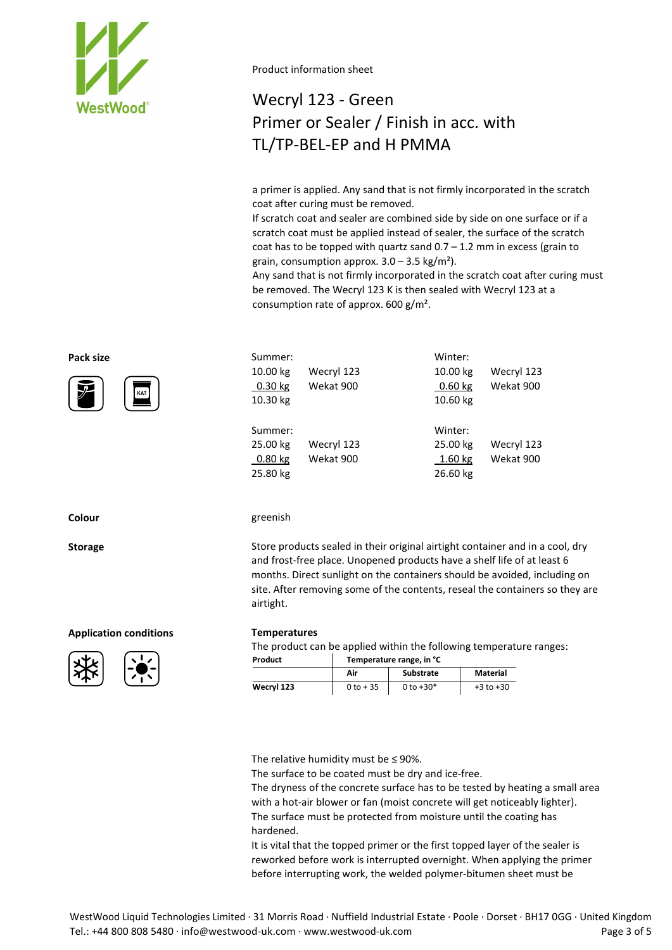

# Wecryl 123 - Green Primer or Sealer / Finish in acc. with TL/TP-BEL-EP and H PMMA

a primer is applied. Any sand that is not firmly incorporated in the scratch coat after curing must be removed.

If scratch coat and sealer are combined side by side on one surface or if a scratch coat must be applied instead of sealer, the surface of the scratch coat has to be topped with quartz sand  $0.7 - 1.2$  mm in excess (grain to grain, consumption approx.  $3.0 - 3.5$  kg/m<sup>2</sup>).

Any sand that is not firmly incorporated in the scratch coat after curing must be removed. The Wecryl 123 K is then sealed with Wecryl 123 at a consumption rate of approx. 600 g/m².

| Pack size | Summer:                                      |                         | Winter:                                    |                         |
|-----------|----------------------------------------------|-------------------------|--------------------------------------------|-------------------------|
| ア<br>KAT  | 10.00 kg<br>$0.30$ kg<br>10.30 kg            | Wecryl 123<br>Wekat 900 | 10.00 kg<br>0.60 kg<br>10.60 kg            | Wecryl 123<br>Wekat 900 |
|           | Summer:<br>25.00 kg<br>$0.80$ kg<br>25.80 kg | Wecryl 123<br>Wekat 900 | Winter:<br>25.00 kg<br>1.60 kg<br>26.60 kg | Wecryl 123<br>Wekat 900 |

#### **Colour** greenish

**Storage** Store products sealed in their original airtight container and in a cool, dry and frost-free place. Unopened products have a shelf life of at least 6 months. Direct sunlight on the containers should be avoided, including on site. After removing some of the contents, reseal the containers so they are airtight.

The product can be applied within the following temperature ranges:

| Product    | Temperature range, in °C |                  |               |  |
|------------|--------------------------|------------------|---------------|--|
|            | Air                      | <b>Substrate</b> | Material      |  |
| Wecryl 123 | $0 to + 35$              | 0 to $+30*$      | $+3$ to $+30$ |  |

The relative humidity must be  $\leq$  90%.

The surface to be coated must be dry and ice-free.

The dryness of the concrete surface has to be tested by heating a small area with a hot-air blower or fan (moist concrete will get noticeably lighter). The surface must be protected from moisture until the coating has hardened.

It is vital that the topped primer or the first topped layer of the sealer is reworked before work is interrupted overnight. When applying the primer before interrupting work, the welded polymer-bitumen sheet must be



### **Application conditions Temperatures**



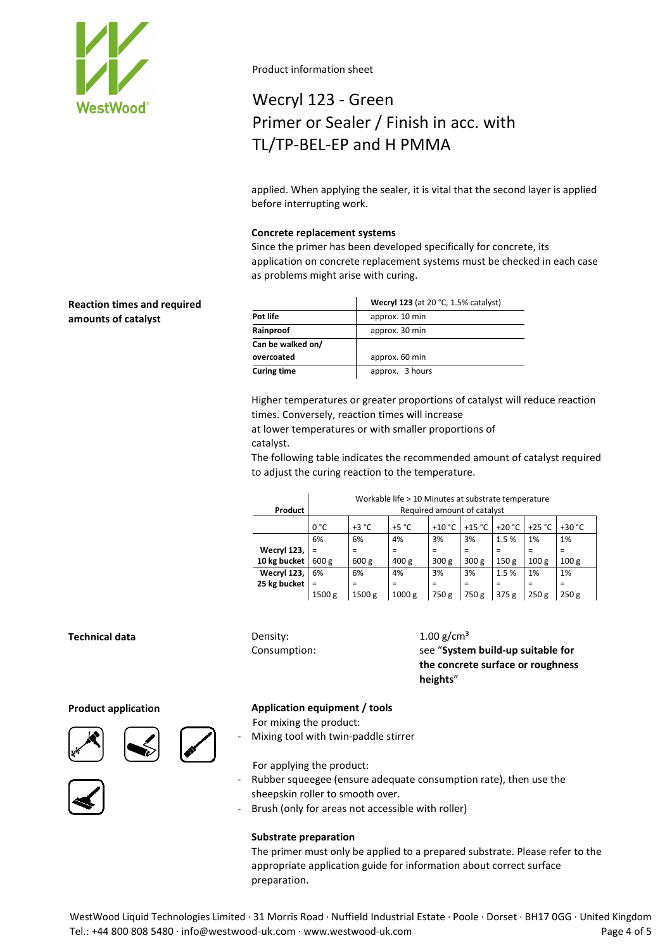

# Wecryl 123 - Green Primer or Sealer / Finish in acc. with TL/TP-BEL-EP and H PMMA

applied. When applying the sealer, it is vital that the second layer is applied before interrupting work.

### **Concrete replacement systems**

Since the primer has been developed specifically for concrete, its application on concrete replacement systems must be checked in each case as problems might arise with curing.

| <b>Reaction times and required</b> |                    | <b>Wecryl 123</b> (at 20 °C, 1.5% catalyst) |  |  |  |
|------------------------------------|--------------------|---------------------------------------------|--|--|--|
| amounts of catalyst                | Pot life           | approx. 10 min                              |  |  |  |
|                                    | Rainproof          | approx. 30 min                              |  |  |  |
|                                    | Can be walked on/  |                                             |  |  |  |
|                                    | overcoated         | approx. 60 min                              |  |  |  |
|                                    | <b>Curing time</b> | approx. 3 hours                             |  |  |  |

Higher temperatures or greater proportions of catalyst will reduce reaction times. Conversely, reaction times will increase

at lower temperatures or with smaller proportions of catalyst.

The following table indicates the recommended amount of catalyst required to adjust the curing reaction to the temperature.

|              | Workable life > 10 Minutes at substrate temperature |          |                  |                  |                  |                  |                  |                  |
|--------------|-----------------------------------------------------|----------|------------------|------------------|------------------|------------------|------------------|------------------|
| Product      | Required amount of catalyst                         |          |                  |                  |                  |                  |                  |                  |
|              | 0 °C                                                | $+3 °C$  | $+5 °C$          | $+10 °C$         | $+15 °C$         | $+20 °C$         | $+25 °C$         | $+30 °C$         |
|              | 6%                                                  | 6%       | 4%               | 3%               | 3%               | 1.5%             | 1%               | 1%               |
| Wecryl 123,  |                                                     | $\equiv$ | =                | =                | =                | =                |                  | $=$              |
| 10 kg bucket | 600 g                                               | 600 g    | 400 <sub>g</sub> | 300 <sub>g</sub> | 300 <sub>g</sub> | 150 <sub>g</sub> | 100 <sub>g</sub> | 100 <sub>g</sub> |
| Wecryl 123,  | 6%                                                  | 6%       | 4%               | 3%               | 3%               | 1.5%             | 1%               | 1%               |
| 25 kg bucket | $=$                                                 | $\equiv$ | =                | =                | =                | =                | $\equiv$         | Ξ                |
|              | 1500 g                                              | 1500 g   | 1000 g           | 750 g            | 750 g            | 375 g            | 250g             | 250g             |

# **Technical data** Density:

Consumption:

 $1.00$  g/cm<sup>3</sup> see "**System build-up suitable for the concrete surface or roughness heights**"







# **Product application Application equipment / tools**

For mixing the product:

Mixing tool with twin-paddle stirrer

For applying the product:

- Rubber squeegee (ensure adequate consumption rate), then use the sheepskin roller to smooth over.
- Brush (only for areas not accessible with roller)

### **Substrate preparation**

The primer must only be applied to a prepared substrate. Please refer to the appropriate application guide for information about correct surface preparation.

WestWood Liquid Technologies Limited · 31 Morris Road · Nuffield Industrial Estate · Poole · Dorset · BH17 0GG · United Kingdom Tel.: +44 800 808 5480 · info@westwood-uk.com · www.westwood-uk.com example are seen to the Page 4 of 5